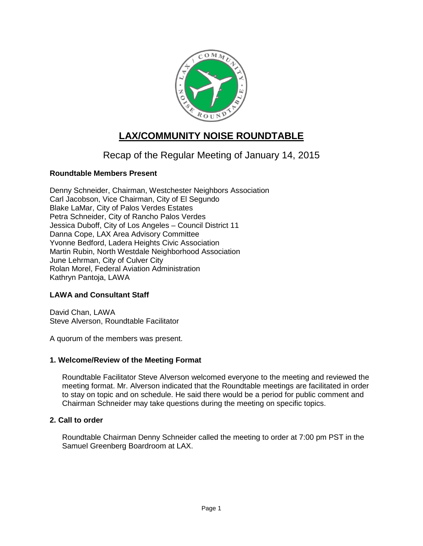

# **LAX/COMMUNITY NOISE ROUNDTABLE**

## Recap of the Regular Meeting of January 14, 2015

## **Roundtable Members Present**

Denny Schneider, Chairman, Westchester Neighbors Association Carl Jacobson, Vice Chairman, City of El Segundo Blake LaMar, City of Palos Verdes Estates Petra Schneider, City of Rancho Palos Verdes Jessica Duboff, City of Los Angeles – Council District 11 Danna Cope, LAX Area Advisory Committee Yvonne Bedford, Ladera Heights Civic Association Martin Rubin, North Westdale Neighborhood Association June Lehrman, City of Culver City Rolan Morel, Federal Aviation Administration Kathryn Pantoja, LAWA

## **LAWA and Consultant Staff**

David Chan, LAWA Steve Alverson, Roundtable Facilitator

A quorum of the members was present.

#### **1. Welcome/Review of the Meeting Format**

Roundtable Facilitator Steve Alverson welcomed everyone to the meeting and reviewed the meeting format. Mr. Alverson indicated that the Roundtable meetings are facilitated in order to stay on topic and on schedule. He said there would be a period for public comment and Chairman Schneider may take questions during the meeting on specific topics.

#### **2. Call to order**

Roundtable Chairman Denny Schneider called the meeting to order at 7:00 pm PST in the Samuel Greenberg Boardroom at LAX.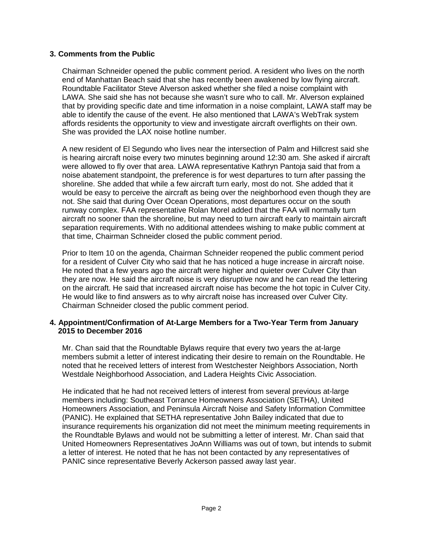#### **3. Comments from the Public**

Chairman Schneider opened the public comment period. A resident who lives on the north end of Manhattan Beach said that she has recently been awakened by low flying aircraft. Roundtable Facilitator Steve Alverson asked whether she filed a noise complaint with LAWA. She said she has not because she wasn't sure who to call. Mr. Alverson explained that by providing specific date and time information in a noise complaint, LAWA staff may be able to identify the cause of the event. He also mentioned that LAWA's WebTrak system affords residents the opportunity to view and investigate aircraft overflights on their own. She was provided the LAX noise hotline number.

A new resident of El Segundo who lives near the intersection of Palm and Hillcrest said she is hearing aircraft noise every two minutes beginning around 12:30 am. She asked if aircraft were allowed to fly over that area. LAWA representative Kathryn Pantoja said that from a noise abatement standpoint, the preference is for west departures to turn after passing the shoreline. She added that while a few aircraft turn early, most do not. She added that it would be easy to perceive the aircraft as being over the neighborhood even though they are not. She said that during Over Ocean Operations, most departures occur on the south runway complex. FAA representative Rolan Morel added that the FAA will normally turn aircraft no sooner than the shoreline, but may need to turn aircraft early to maintain aircraft separation requirements. With no additional attendees wishing to make public comment at that time, Chairman Schneider closed the public comment period.

Prior to Item 10 on the agenda, Chairman Schneider reopened the public comment period for a resident of Culver City who said that he has noticed a huge increase in aircraft noise. He noted that a few years ago the aircraft were higher and quieter over Culver City than they are now. He said the aircraft noise is very disruptive now and he can read the lettering on the aircraft. He said that increased aircraft noise has become the hot topic in Culver City. He would like to find answers as to why aircraft noise has increased over Culver City. Chairman Schneider closed the public comment period.

#### **4. Appointment/Confirmation of At-Large Members for a Two-Year Term from January 2015 to December 2016**

Mr. Chan said that the Roundtable Bylaws require that every two years the at-large members submit a letter of interest indicating their desire to remain on the Roundtable. He noted that he received letters of interest from Westchester Neighbors Association, North Westdale Neighborhood Association, and Ladera Heights Civic Association.

He indicated that he had not received letters of interest from several previous at-large members including: Southeast Torrance Homeowners Association (SETHA), United Homeowners Association, and Peninsula Aircraft Noise and Safety Information Committee (PANIC). He explained that SETHA representative John Bailey indicated that due to insurance requirements his organization did not meet the minimum meeting requirements in the Roundtable Bylaws and would not be submitting a letter of interest. Mr. Chan said that United Homeowners Representatives JoAnn Williams was out of town, but intends to submit a letter of interest. He noted that he has not been contacted by any representatives of PANIC since representative Beverly Ackerson passed away last year.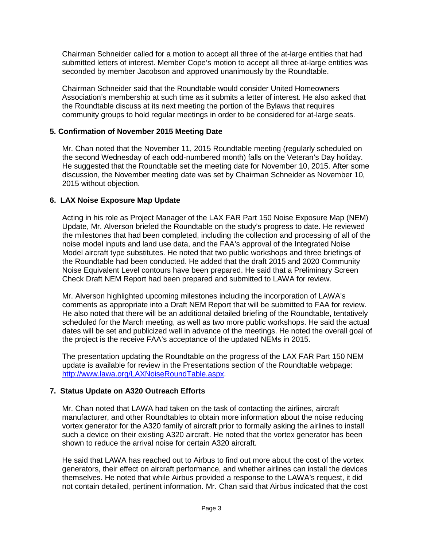Chairman Schneider called for a motion to accept all three of the at-large entities that had submitted letters of interest. Member Cope's motion to accept all three at-large entities was seconded by member Jacobson and approved unanimously by the Roundtable.

Chairman Schneider said that the Roundtable would consider United Homeowners Association's membership at such time as it submits a letter of interest. He also asked that the Roundtable discuss at its next meeting the portion of the Bylaws that requires community groups to hold regular meetings in order to be considered for at-large seats.

## **5. Confirmation of November 2015 Meeting Date**

Mr. Chan noted that the November 11, 2015 Roundtable meeting (regularly scheduled on the second Wednesday of each odd-numbered month) falls on the Veteran's Day holiday. He suggested that the Roundtable set the meeting date for November 10, 2015. After some discussion, the November meeting date was set by Chairman Schneider as November 10, 2015 without objection.

## **6. LAX Noise Exposure Map Update**

Acting in his role as Project Manager of the LAX FAR Part 150 Noise Exposure Map (NEM) Update, Mr. Alverson briefed the Roundtable on the study's progress to date. He reviewed the milestones that had been completed, including the collection and processing of all of the noise model inputs and land use data, and the FAA's approval of the Integrated Noise Model aircraft type substitutes. He noted that two public workshops and three briefings of the Roundtable had been conducted. He added that the draft 2015 and 2020 Community Noise Equivalent Level contours have been prepared. He said that a Preliminary Screen Check Draft NEM Report had been prepared and submitted to LAWA for review.

Mr. Alverson highlighted upcoming milestones including the incorporation of LAWA's comments as appropriate into a Draft NEM Report that will be submitted to FAA for review. He also noted that there will be an additional detailed briefing of the Roundtable, tentatively scheduled for the March meeting, as well as two more public workshops. He said the actual dates will be set and publicized well in advance of the meetings. He noted the overall goal of the project is the receive FAA's acceptance of the updated NEMs in 2015.

The presentation updating the Roundtable on the progress of the LAX FAR Part 150 NEM update is available for review in the Presentations section of the Roundtable webpage: [http://www.lawa.org/LAXNoiseRoundTable.aspx.](http://www.lawa.org/LAXNoiseRoundTable.aspx)

## **7. Status Update on A320 Outreach Efforts**

Mr. Chan noted that LAWA had taken on the task of contacting the airlines, aircraft manufacturer, and other Roundtables to obtain more information about the noise reducing vortex generator for the A320 family of aircraft prior to formally asking the airlines to install such a device on their existing A320 aircraft. He noted that the vortex generator has been shown to reduce the arrival noise for certain A320 aircraft.

He said that LAWA has reached out to Airbus to find out more about the cost of the vortex generators, their effect on aircraft performance, and whether airlines can install the devices themselves. He noted that while Airbus provided a response to the LAWA's request, it did not contain detailed, pertinent information. Mr. Chan said that Airbus indicated that the cost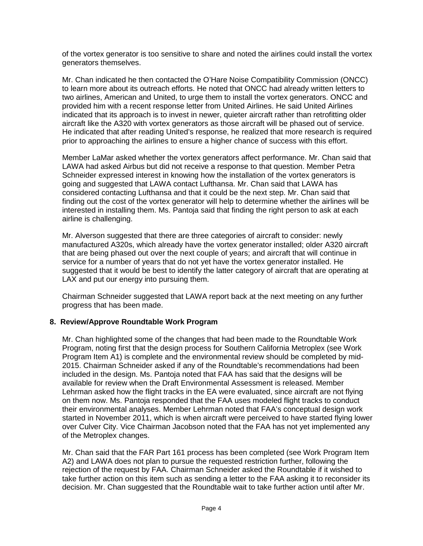of the vortex generator is too sensitive to share and noted the airlines could install the vortex generators themselves.

Mr. Chan indicated he then contacted the O'Hare Noise Compatibility Commission (ONCC) to learn more about its outreach efforts. He noted that ONCC had already written letters to two airlines, American and United, to urge them to install the vortex generators. ONCC and provided him with a recent response letter from United Airlines. He said United Airlines indicated that its approach is to invest in newer, quieter aircraft rather than retrofitting older aircraft like the A320 with vortex generators as those aircraft will be phased out of service. He indicated that after reading United's response, he realized that more research is required prior to approaching the airlines to ensure a higher chance of success with this effort.

Member LaMar asked whether the vortex generators affect performance. Mr. Chan said that LAWA had asked Airbus but did not receive a response to that question. Member Petra Schneider expressed interest in knowing how the installation of the vortex generators is going and suggested that LAWA contact Lufthansa. Mr. Chan said that LAWA has considered contacting Lufthansa and that it could be the next step. Mr. Chan said that finding out the cost of the vortex generator will help to determine whether the airlines will be interested in installing them. Ms. Pantoja said that finding the right person to ask at each airline is challenging.

Mr. Alverson suggested that there are three categories of aircraft to consider: newly manufactured A320s, which already have the vortex generator installed; older A320 aircraft that are being phased out over the next couple of years; and aircraft that will continue in service for a number of years that do not yet have the vortex generator installed. He suggested that it would be best to identify the latter category of aircraft that are operating at LAX and put our energy into pursuing them.

Chairman Schneider suggested that LAWA report back at the next meeting on any further progress that has been made.

## **8. Review/Approve Roundtable Work Program**

Mr. Chan highlighted some of the changes that had been made to the Roundtable Work Program, noting first that the design process for Southern California Metroplex (see Work Program Item A1) is complete and the environmental review should be completed by mid-2015. Chairman Schneider asked if any of the Roundtable's recommendations had been included in the design. Ms. Pantoja noted that FAA has said that the designs will be available for review when the Draft Environmental Assessment is released. Member Lehrman asked how the flight tracks in the EA were evaluated, since aircraft are not flying on them now. Ms. Pantoja responded that the FAA uses modeled flight tracks to conduct their environmental analyses. Member Lehrman noted that FAA's conceptual design work started in November 2011, which is when aircraft were perceived to have started flying lower over Culver City. Vice Chairman Jacobson noted that the FAA has not yet implemented any of the Metroplex changes.

Mr. Chan said that the FAR Part 161 process has been completed (see Work Program Item A2) and LAWA does not plan to pursue the requested restriction further, following the rejection of the request by FAA. Chairman Schneider asked the Roundtable if it wished to take further action on this item such as sending a letter to the FAA asking it to reconsider its decision. Mr. Chan suggested that the Roundtable wait to take further action until after Mr.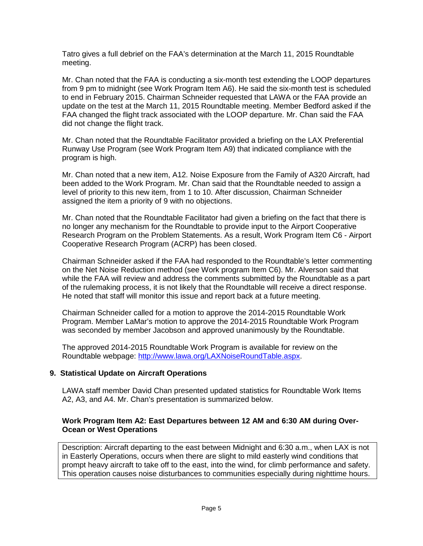Tatro gives a full debrief on the FAA's determination at the March 11, 2015 Roundtable meeting.

Mr. Chan noted that the FAA is conducting a six-month test extending the LOOP departures from 9 pm to midnight (see Work Program Item A6). He said the six-month test is scheduled to end in February 2015. Chairman Schneider requested that LAWA or the FAA provide an update on the test at the March 11, 2015 Roundtable meeting. Member Bedford asked if the FAA changed the flight track associated with the LOOP departure. Mr. Chan said the FAA did not change the flight track.

Mr. Chan noted that the Roundtable Facilitator provided a briefing on the LAX Preferential Runway Use Program (see Work Program Item A9) that indicated compliance with the program is high.

Mr. Chan noted that a new item, A12. Noise Exposure from the Family of A320 Aircraft, had been added to the Work Program. Mr. Chan said that the Roundtable needed to assign a level of priority to this new item, from 1 to 10. After discussion, Chairman Schneider assigned the item a priority of 9 with no objections.

Mr. Chan noted that the Roundtable Facilitator had given a briefing on the fact that there is no longer any mechanism for the Roundtable to provide input to the Airport Cooperative Research Program on the Problem Statements. As a result, Work Program Item C6 - Airport Cooperative Research Program (ACRP) has been closed.

Chairman Schneider asked if the FAA had responded to the Roundtable's letter commenting on the Net Noise Reduction method (see Work program Item C6). Mr. Alverson said that while the FAA will review and address the comments submitted by the Roundtable as a part of the rulemaking process, it is not likely that the Roundtable will receive a direct response. He noted that staff will monitor this issue and report back at a future meeting.

Chairman Schneider called for a motion to approve the 2014-2015 Roundtable Work Program. Member LaMar's motion to approve the 2014-2015 Roundtable Work Program was seconded by member Jacobson and approved unanimously by the Roundtable.

The approved 2014-2015 Roundtable Work Program is available for review on the Roundtable webpage: [http://www.lawa.org/LAXNoiseRoundTable.aspx.](http://www.lawa.org/LAXNoiseRoundTable.aspx)

## **9. Statistical Update on Aircraft Operations**

LAWA staff member David Chan presented updated statistics for Roundtable Work Items A2, A3, and A4. Mr. Chan's presentation is summarized below.

## **Work Program Item A2: East Departures between 12 AM and 6:30 AM during Over-Ocean or West Operations**

Description: Aircraft departing to the east between Midnight and 6:30 a.m., when LAX is not in Easterly Operations, occurs when there are slight to mild easterly wind conditions that prompt heavy aircraft to take off to the east, into the wind, for climb performance and safety. This operation causes noise disturbances to communities especially during nighttime hours.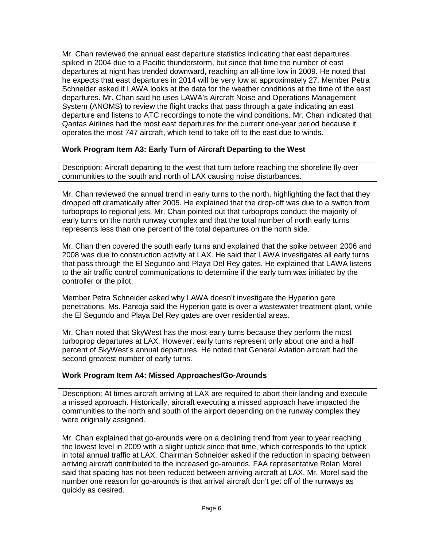Mr. Chan reviewed the annual east departure statistics indicating that east departures spiked in 2004 due to a Pacific thunderstorm, but since that time the number of east departures at night has trended downward, reaching an all-time low in 2009. He noted that he expects that east departures in 2014 will be very low at approximately 27. Member Petra Schneider asked if LAWA looks at the data for the weather conditions at the time of the east departures. Mr. Chan said he uses LAWA's Aircraft Noise and Operations Management System (ANOMS) to review the flight tracks that pass through a gate indicating an east departure and listens to ATC recordings to note the wind conditions. Mr. Chan indicated that Qantas Airlines had the most east departures for the current one-year period because it operates the most 747 aircraft, which tend to take off to the east due to winds.

## **Work Program Item A3: Early Turn of Aircraft Departing to the West**

Description: Aircraft departing to the west that turn before reaching the shoreline fly over communities to the south and north of LAX causing noise disturbances.

Mr. Chan reviewed the annual trend in early turns to the north, highlighting the fact that they dropped off dramatically after 2005. He explained that the drop-off was due to a switch from turboprops to regional jets. Mr. Chan pointed out that turboprops conduct the majority of early turns on the north runway complex and that the total number of north early turns represents less than one percent of the total departures on the north side.

Mr. Chan then covered the south early turns and explained that the spike between 2006 and 2008 was due to construction activity at LAX. He said that LAWA investigates all early turns that pass through the El Segundo and Playa Del Rey gates. He explained that LAWA listens to the air traffic control communications to determine if the early turn was initiated by the controller or the pilot.

Member Petra Schneider asked why LAWA doesn't investigate the Hyperion gate penetrations. Ms. Pantoja said the Hyperion gate is over a wastewater treatment plant, while the El Segundo and Playa Del Rey gates are over residential areas.

Mr. Chan noted that SkyWest has the most early turns because they perform the most turboprop departures at LAX. However, early turns represent only about one and a half percent of SkyWest's annual departures. He noted that General Aviation aircraft had the second greatest number of early turns.

## **Work Program Item A4: Missed Approaches/Go-Arounds**

Description: At times aircraft arriving at LAX are required to abort their landing and execute a missed approach. Historically, aircraft executing a missed approach have impacted the communities to the north and south of the airport depending on the runway complex they were originally assigned.

Mr. Chan explained that go-arounds were on a declining trend from year to year reaching the lowest level in 2009 with a slight uptick since that time, which corresponds to the uptick in total annual traffic at LAX. Chairman Schneider asked if the reduction in spacing between arriving aircraft contributed to the increased go-arounds. FAA representative Rolan Morel said that spacing has not been reduced between arriving aircraft at LAX. Mr. Morel said the number one reason for go-arounds is that arrival aircraft don't get off of the runways as quickly as desired.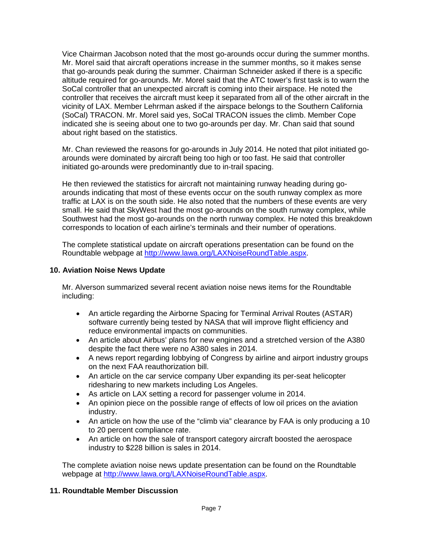Vice Chairman Jacobson noted that the most go-arounds occur during the summer months. Mr. Morel said that aircraft operations increase in the summer months, so it makes sense that go-arounds peak during the summer. Chairman Schneider asked if there is a specific altitude required for go-arounds. Mr. Morel said that the ATC tower's first task is to warn the SoCal controller that an unexpected aircraft is coming into their airspace. He noted the controller that receives the aircraft must keep it separated from all of the other aircraft in the vicinity of LAX. Member Lehrman asked if the airspace belongs to the Southern California (SoCal) TRACON. Mr. Morel said yes, SoCal TRACON issues the climb. Member Cope indicated she is seeing about one to two go-arounds per day. Mr. Chan said that sound about right based on the statistics.

Mr. Chan reviewed the reasons for go-arounds in July 2014. He noted that pilot initiated goarounds were dominated by aircraft being too high or too fast. He said that controller initiated go-arounds were predominantly due to in-trail spacing.

He then reviewed the statistics for aircraft not maintaining runway heading during goarounds indicating that most of these events occur on the south runway complex as more traffic at LAX is on the south side. He also noted that the numbers of these events are very small. He said that SkyWest had the most go-arounds on the south runway complex, while Southwest had the most go-arounds on the north runway complex. He noted this breakdown corresponds to location of each airline's terminals and their number of operations.

The complete statistical update on aircraft operations presentation can be found on the Roundtable webpage at [http://www.lawa.org/LAXNoiseRoundTable.aspx.](http://www.lawa.org/LAXNoiseRoundTable.aspx)

#### **10. Aviation Noise News Update**

Mr. Alverson summarized several recent aviation noise news items for the Roundtable including:

- An article regarding the Airborne Spacing for Terminal Arrival Routes (ASTAR) software currently being tested by NASA that will improve flight efficiency and reduce environmental impacts on communities.
- An article about Airbus' plans for new engines and a stretched version of the A380 despite the fact there were no A380 sales in 2014.
- A news report regarding lobbying of Congress by airline and airport industry groups on the next FAA reauthorization bill.
- An article on the car service company Uber expanding its per-seat helicopter ridesharing to new markets including Los Angeles.
- As article on LAX setting a record for passenger volume in 2014.
- An opinion piece on the possible range of effects of low oil prices on the aviation industry.
- An article on how the use of the "climb via" clearance by FAA is only producing a 10 to 20 percent compliance rate.
- An article on how the sale of transport category aircraft boosted the aerospace industry to \$228 billion is sales in 2014.

The complete aviation noise news update presentation can be found on the Roundtable webpage at [http://www.lawa.org/LAXNoiseRoundTable.aspx.](http://www.lawa.org/LAXNoiseRoundTable.aspx)

## **11. Roundtable Member Discussion**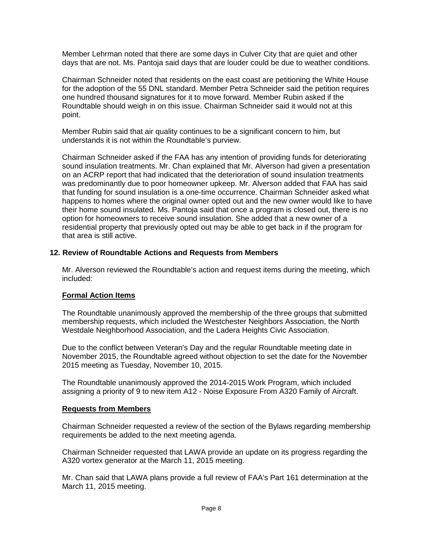Member Lehrman noted that there are some days in Culver City that are quiet and other days that are not. Ms. Pantoja said days that are louder could be due to weather conditions.

Chairman Schneider noted that residents on the east coast are petitioning the White House for the adoption of the 55 DNL standard. Member Petra Schneider said the petition requires one hundred thousand signatures for it to move forward. Member Rubin asked if the Roundtable should weigh in on this issue. Chairman Schneider said it would not at this point.

Member Rubin said that air quality continues to be a significant concern to him, but understands it is not within the Roundtable's purview.

Chairman Schneider asked if the FAA has any intention of providing funds for deteriorating sound insulation treatments. Mr. Chan explained that Mr. Alverson had given a presentation on an ACRP report that had indicated that the deterioration of sound insulation treatments was predominantly due to poor homeowner upkeep. Mr. Alverson added that FAA has said that funding for sound insulation is a one-time occurrence. Chairman Schneider asked what happens to homes where the original owner opted out and the new owner would like to have their home sound insulated. Ms. Pantoja said that once a program is closed out, there is no option for homeowners to receive sound insulation. She added that a new owner of a residential property that previously opted out may be able to get back in if the program for that area is still active.

#### **12. Review of Roundtable Actions and Requests from Members**

Mr. Alverson reviewed the Roundtable's action and request items during the meeting, which included:

#### **Formal Action Items**

The Roundtable unanimously approved the membership of the three groups that submitted membership requests, which included the Westchester Neighbors Association, the North Westdale Neighborhood Association, and the Ladera Heights Civic Association.

Due to the conflict between Veteran's Day and the regular Roundtable meeting date in November 2015, the Roundtable agreed without objection to set the date for the November 2015 meeting as Tuesday, November 10, 2015.

The Roundtable unanimously approved the 2014-2015 Work Program, which included assigning a priority of 9 to new item A12 - Noise Exposure From A320 Family of Aircraft.

#### **Requests from Members**

Chairman Schneider requested a review of the section of the Bylaws regarding membership requirements be added to the next meeting agenda.

Chairman Schneider requested that LAWA provide an update on its progress regarding the A320 vortex generator at the March 11, 2015 meeting.

Mr. Chan said that LAWA plans provide a full review of FAA's Part 161 determination at the March 11, 2015 meeting.